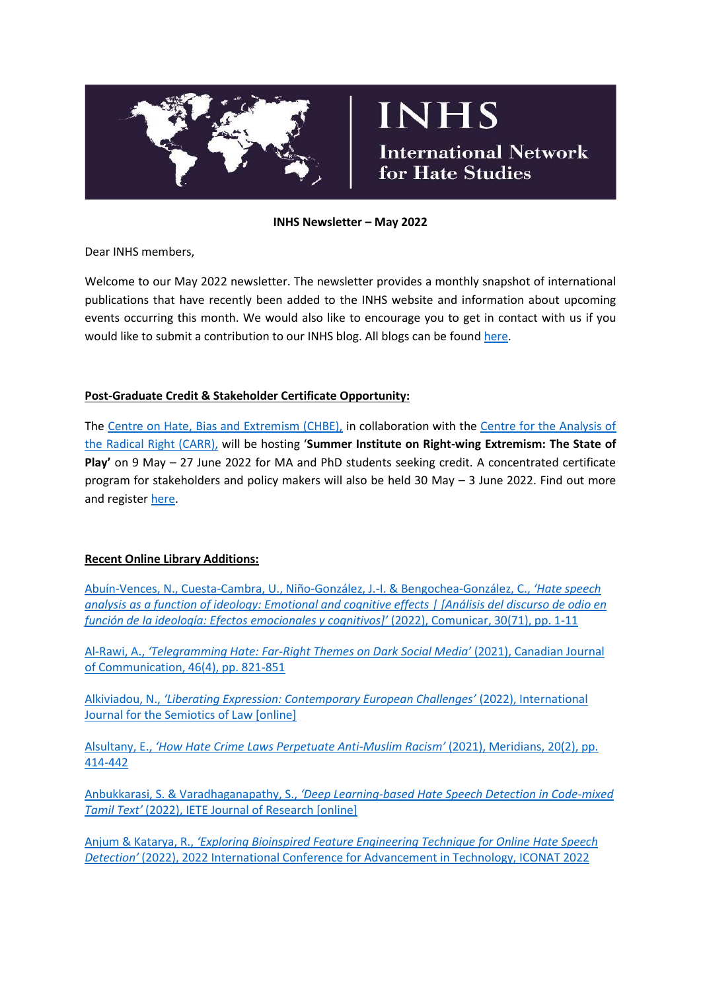

# **INHS**

**International Network** for Hate Studies

#### **INHS Newsletter – May 2022**

Dear INHS members,

Welcome to our May 2022 newsletter. The newsletter provides a monthly snapshot of international publications that have recently been added to the INHS website and information about upcoming events occurring this month. We would also like to encourage you to get in contact with us if you would like to submit a contribution to our INHS blog. All blogs can be found [here.](http://www.internationalhatestudies.com/blog/)

## **Post-Graduate Credit & Stakeholder Certificate Opportunity:**

The [Centre on Hate, Bias and Extremism \(CHBE\),](https://socialscienceandhumanities.ontariotechu.ca/centre-on-hate-bias-and-extremism/index.php) in collaboration with the [Centre for the Analysis of](https://www.radicalrightanalysis.com/)  [the Radical Right \(CARR\),](https://www.radicalrightanalysis.com/) will be hosting '**Summer Institute on Right-wing Extremism: The State of Play'** on 9 May – 27 June 2022 for MA and PhD students seeking credit. A concentrated certificate program for stakeholders and policy makers will also be held 30 May – 3 June 2022. Find out more and register [here.](https://socialscienceandhumanities.ontariotechu.ca/centre-on-hate-bias-and-extremism/events/summer-institute-state-of-play.php)

## **Recent Online Library Additions:**

[Abuín-Vences, N., Cuesta-Cambra, U., Niño-González, J.-I. & Bengochea-González, C.,](https://doi.org/10.3916/C71-2022-03) *'Hate speech [analysis as a function of ideology: Emotional and cognitive effects | \[Análisis del discurso de odio en](https://doi.org/10.3916/C71-2022-03)  [función de la ideología: Efectos emocionales y cognitivos\]'](https://doi.org/10.3916/C71-2022-03)* (2022), Comunicar, 30(71), pp. 1-11

Al-Rawi, A., *'Telegramming Hate: Far-[Right Themes on Dark Social Media'](https://doi.org/10.22230/cjc.2021v46n4a4055)* (2021), Canadian Journal [of Communication, 46\(4\), pp. 821-851](https://doi.org/10.22230/cjc.2021v46n4a4055)

Alkiviadou, N., *['Liberating Expression: Contemporary European Challenges'](https://doi.org/10.1007/s11196-022-09891-9)* (2022), International [Journal for the Semiotics of Law \[online\]](https://doi.org/10.1007/s11196-022-09891-9)

Alsultany, E., *['How Hate Crime Laws Perpetuate Anti](https://doi.org/10.1215/15366936-9547954)-Muslim Racism'* (2021), Meridians, 20(2), pp. [414-442](https://doi.org/10.1215/15366936-9547954)

Anbukkarasi, S. & Varadhaganapathy, S., *'[Deep Learning-based Hate Speech Detection in Code-mixed](https://doi.org/10.1080/03772063.2022.2043786)  Tamil Text'* [\(2022\), IETE Journal of Research \[online\]](https://doi.org/10.1080/03772063.2022.2043786)

Anjum & Katarya, R., *'[Exploring Bioinspired Feature Engineering Technique for Online Hate Speech](https://doi.org/10.1109/ICONAT53423.2022.9726098)  Detection'* [\(2022\), 2022 International Conference for Advancement in Technology, ICONAT 2022](https://doi.org/10.1109/ICONAT53423.2022.9726098)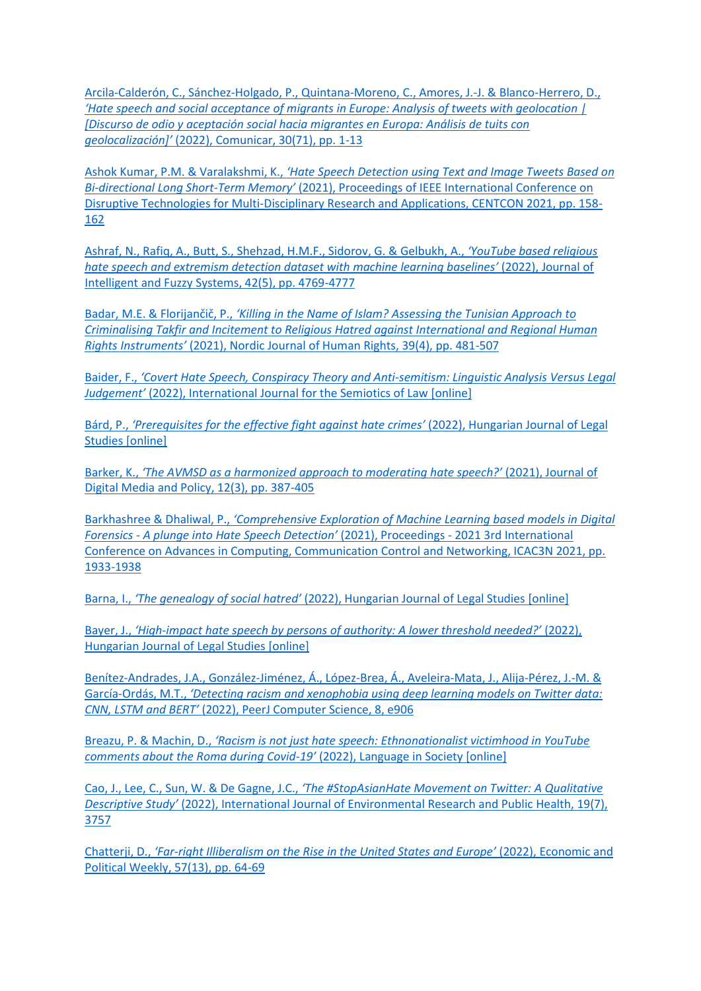[Arcila-Calderón, C., Sánchez-Holgado, P., Quintana-Moreno, C., Amores, J.-J. & Blanco-Herrero, D.,](https://doi.org/10.3916/C71-2022-02)  *['Hate speech and social acceptance of migrants in Europe: Analysis of tweets with geolocation |](https://doi.org/10.3916/C71-2022-02)  [Discurso de [odio y aceptación social hacia migrantes en Europa: Análisis de tuits con](https://doi.org/10.3916/C71-2022-02)  geolocalización]'* [\(2022\), Comunicar, 30\(71\), pp. 1-13](https://doi.org/10.3916/C71-2022-02)

Ashok Kumar, P.M. & Varalakshmi, K., *['Hate Speech Detection using Text and Image Tweets Based on](https://doi.org/10.1109/CENTCON52345.2021.9688115)  Bi-directional Long Short-Term Memory'* [\(2021\), Proceedings of IEEE International Conference on](https://doi.org/10.1109/CENTCON52345.2021.9688115)  [Disruptive Technologies for Multi-Disciplinary Research and Applications, CENTCON 2021, pp. 158-](https://doi.org/10.1109/CENTCON52345.2021.9688115) [162](https://doi.org/10.1109/CENTCON52345.2021.9688115)

[Ashraf, N., Rafiq, A., Butt, S., Shehzad, H.M.F., Sidorov, G. & Gelbukh, A.,](https://content.iospress.com/articles/journal-of-intelligent-and-fuzzy-systems/ifs219264) *'YouTube based religious hate speech [and extremism detection dataset with machine learning baselines'](https://content.iospress.com/articles/journal-of-intelligent-and-fuzzy-systems/ifs219264)* (2022), Journal of [Intelligent and Fuzzy Systems, 42\(5\), pp. 4769-4777](https://content.iospress.com/articles/journal-of-intelligent-and-fuzzy-systems/ifs219264)

Badar, M.E. & Florijančič, P., *['Killing in the Name of Islam? Assessing the Tunisian Approach to](https://doi.org/10.1080/18918131.2021.2021665)  [Criminalising Takfir and Incitement to Religious Hatred against International and Regional Human](https://doi.org/10.1080/18918131.2021.2021665)  Rights Instruments'* [\(2021\), Nordic Journal of Human Rights, 39\(4\), pp. 481-507](https://doi.org/10.1080/18918131.2021.2021665)

Baider, F., *'[Covert Hate Speech, Conspiracy Theory and Anti-semitism: Linguistic Analysis Versus Legal](https://doi.org/10.1007/s11196-022-09882-w)  Judgement'* [\(2022\), International Journal for the Semiotics of Law \[online\]](https://doi.org/10.1007/s11196-022-09882-w)

Bárd, P., *['Prerequisites for the effective fight against hate crimes'](https://doi.org/10.1556/2052.2020.00340)* (2022), Hungarian Journal of Legal [Studies \[online\]](https://doi.org/10.1556/2052.2020.00340)

Barker, K., *['The AVMSD as a harmonized approach to moderating hate speech?'](https://doi.org/10.1386/jdmp_00072_1)* (2021), Journal of [Digital Media and Policy, 12\(3\), pp. 387-405](https://doi.org/10.1386/jdmp_00072_1)

Barkhashree & Dhaliwal, P., *'[Comprehensive Exploration of Machine Learning based models in Digital](https://doi.org/10.1109/ICAC3N53548.2021.9725393)  Forensics - [A plunge into Hate Speech Detection'](https://doi.org/10.1109/ICAC3N53548.2021.9725393)* (2021), Proceedings - 2021 3rd International [Conference on Advances in Computing, Communication Control and Networking, ICAC3N 2021, pp.](https://doi.org/10.1109/ICAC3N53548.2021.9725393)  [1933-1938](https://doi.org/10.1109/ICAC3N53548.2021.9725393)

Barna, I., *'The genealogy of social hatred'* [\(2022\), Hungarian Journal of Legal Studies \[online\]](https://doi.org/10.1556/2052.2020.00341)

Bayer, J., *'High-[impact hate speech by persons of authority: A lower threshold needed?'](https://doi.org/10.1556/2052.2020.00003)* (2022), [Hungarian Journal of Legal Studies \[online\]](https://doi.org/10.1556/2052.2020.00003)

[Benítez-Andrades, J.A., González-Jiménez, Á., López-Brea, Á., Aveleira-Mata, J., Alija-Pérez, J.-M. &](https://doi.org/10.7717/peerj-cs.906)  García-Ordás, M.T., *['Detecting racism and xenophobia using deep learning models on Twitter data:](https://doi.org/10.7717/peerj-cs.906)  CNN, LSTM and BERT'* [\(2022\), PeerJ Computer Science, 8, e906](https://doi.org/10.7717/peerj-cs.906)

Breazu, P. & Machin, D., *['Racism is not just hate speech: Ethnonationalist victimhood in YouTube](https://doi.org/10.1017/S0047404522000070)  [comments about the Roma during Covid-](https://doi.org/10.1017/S0047404522000070)19'* (2022), Language in Society [online]

Cao, J., Lee, C., Sun, W. & De Gagne, J.C., *['The #StopAsianHate Movement on Twitter: A Qualitative](https://doi.org/10.3390/ijerph19073757)  Descriptive Study'* [\(2022\), International Journal of Environmental Research and Public Health, 19\(7\),](https://doi.org/10.3390/ijerph19073757)  [3757](https://doi.org/10.3390/ijerph19073757)

Chatterji, D., *'Far-[right Illiberalism on the Rise in the United States and Europe'](https://www.epw.in/journal/2022/13/perspectives/far-right-illiberalism-rise-united-states-and.html)* (2022), Economic and [Political Weekly, 57\(13\), pp. 64-69](https://www.epw.in/journal/2022/13/perspectives/far-right-illiberalism-rise-united-states-and.html)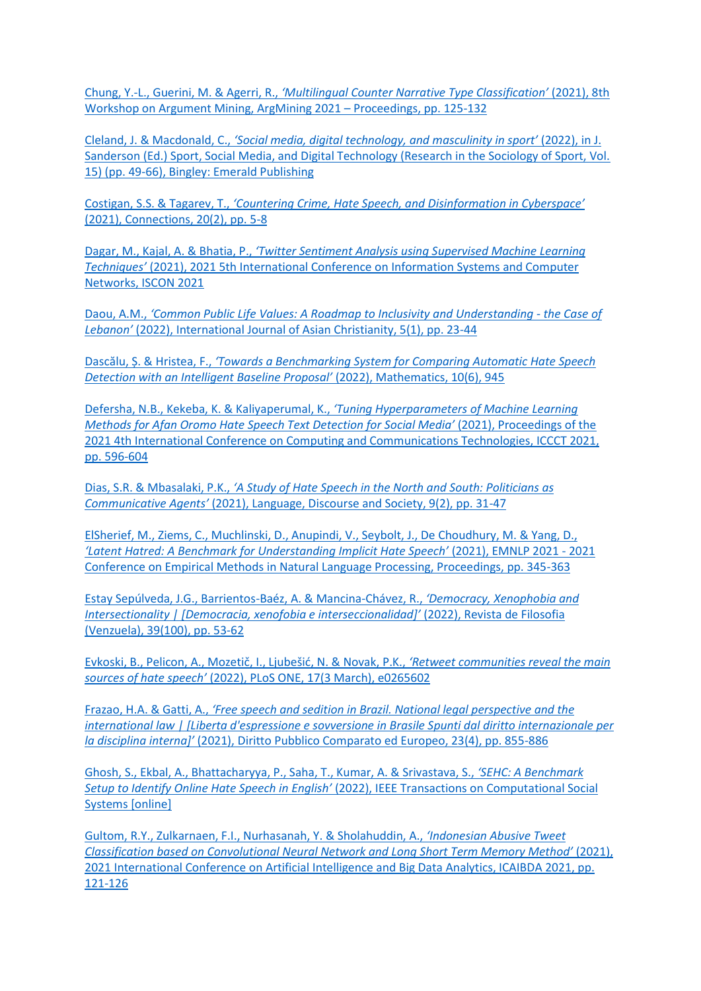Chung, Y.-L., Guerini, M. & Agerri, R., *['Multilingual Counter Narrative Type Classification'](http://dx.doi.org/10.18653/v1/2021.argmining-1.12)* (2021), 8th [Workshop on Argument Mining, ArgMining 2021](http://dx.doi.org/10.18653/v1/2021.argmining-1.12) – Proceedings, pp. 125-132

Cleland, J. & Macdonald, C., *['Social media, digital technology, and masculinity in sport'](https://doi.org/10.1108/S1476-285420220000015007)* (2022), in J. [Sanderson \(Ed.\) Sport, Social Media, and Digital Technology \(Research in the Sociology of Sport, Vol.](https://doi.org/10.1108/S1476-285420220000015007)  [15\) \(pp. 49-66\), Bingley: Emerald Publishing](https://doi.org/10.1108/S1476-285420220000015007)

Costigan, S.S. & Tagarev, T., *['Countering Crime, Hate Speech, and Disinformation in Cyberspace'](http://connections-qj.org/article/countering-crime-hate-speech-and-disinformation-cyberspace)* [\(2021\), Connections, 20\(2\), pp. 5-8](http://connections-qj.org/article/countering-crime-hate-speech-and-disinformation-cyberspace)

Dagar, M., Kajal, A. & Bhatia, P., *['Twitter Sentiment Analysis using Supervised Machine Learning](https://doi.org/10.1109/ISCON52037.2021.9702333)  Techniques'* [\(2021\), 2021 5th International Conference on Information Systems and Computer](https://doi.org/10.1109/ISCON52037.2021.9702333)  [Networks, ISCON 2021](https://doi.org/10.1109/ISCON52037.2021.9702333)

Daou, A.M., *['Common Public Life Values: A Roadmap to Inclusivity and Understanding](https://doi.org/10.1163/25424246-05010003) - the Case of Lebanon'* [\(2022\), International Journal of Asian Christianity, 5\(1\), pp. 23-44](https://doi.org/10.1163/25424246-05010003)

Dascălu, Ș. & Hristea, F., *['Towards a Benchmarking System for Comparing Automatic Hate Speech](https://doi.org/10.3390/math10060945)  [Detection with an Intelligent Baseline](https://doi.org/10.3390/math10060945) Proposal'* (2022), Mathematics, 10(6), 945

[Defersha, N.B., Kekeba, K. & Kaliyaperumal, K.,](https://doi.org/10.1109/ICCCT53315.2021.9711850) *'Tuning Hyperparameters of Machine Learning [Methods for Afan Oromo Hate Speech Text Detection for So](https://doi.org/10.1109/ICCCT53315.2021.9711850)cial Media'* (2021), Proceedings of the [2021 4th International Conference on Computing and Communications Technologies, ICCCT 2021,](https://doi.org/10.1109/ICCCT53315.2021.9711850)  [pp. 596-604](https://doi.org/10.1109/ICCCT53315.2021.9711850)

Dias, S.R. & Mbasalaki, P.K., *['A Study of Hate Speech in the North and So](https://www.language-and-society.org/a-study-of-hate-speech-in-the-north-and-south-politicians-as-communicative-agents-a-preliminary-reflection-of-a-foreshadowing-covid-19-related-hate/)uth: Politicians as Communicative Agents'* [\(2021\), Language, Discourse and Society, 9\(2\), pp. 31-47](https://www.language-and-society.org/a-study-of-hate-speech-in-the-north-and-south-politicians-as-communicative-agents-a-preliminary-reflection-of-a-foreshadowing-covid-19-related-hate/)

[ElSherief, M., Ziems, C., Muchlinski, D., Anupindi, V., Seybolt, J., De Choudhury, M. & Yang, D.,](http://dx.doi.org/10.18653/v1/2021.emnlp-main.29)  *['Latent Hatred: A Benchmark for Understanding Implicit Hate Speech'](http://dx.doi.org/10.18653/v1/2021.emnlp-main.29)* (2021), EMNLP 2021 - 2021 [Conference on Empirical Methods in Natural Language Processing, Proceedings, pp. 345-363](http://dx.doi.org/10.18653/v1/2021.emnlp-main.29)

[Estay Sepúlveda, J.G., Barrientos-Baéz, A. & Mancina-Chávez, R.,](https://doi.org/10.5281/zenodo.5979726) *'Democracy, Xenophobia and [Intersectionality | \[Democracia, xenofobia e interseccionalidad\]'](https://doi.org/10.5281/zenodo.5979726)* (2022), Revista de Filosofia [\(Venzuela\), 39\(100\), pp. 53-62](https://doi.org/10.5281/zenodo.5979726)

[Evkoski, B., Pelicon, A., Mozetič, I., Ljubešić](https://doi.org/10.1371/journal.pone.0265602), N. & Novak, P.K., *'Retweet communities reveal the main sources of hate speech'* [\(2022\), PLoS ONE, 17\(3 March\), e0265602](https://doi.org/10.1371/journal.pone.0265602)

Frazao, H.A. & Gatti, A., *['Free speech and sedition in Brazil. National legal perspect](https://doi.org/10.17394/102972)ive and the [international law | \[Liberta d'espressione e sovversione in Brasile Spunti dal diritto internazionale per](https://doi.org/10.17394/102972)  la disciplina interna]'* [\(2021\), Diritto Pubblico Comparato ed Europeo, 23\(4\), pp. 855-886](https://doi.org/10.17394/102972)

[Ghosh, S., Ekbal, A., Bhattacharyya, P., Saha, T., Kumar, A. & Srivastava, S.,](https://doi.org/10.1109/TCSS.2022.3157474) *'SEHC: A Benchmark Setup to Identify Online Hate Speech in English'* [\(2022\), IEEE Transactions on Computational Social](https://doi.org/10.1109/TCSS.2022.3157474)  [Systems \[online\]](https://doi.org/10.1109/TCSS.2022.3157474)

[Gultom, R.Y., Zulkarnaen, F.I., Nurhasanah, Y. & Sholahuddin, A.,](https://doi.org/10.1109/ICAIBDA53487.2021.9689728) *'Indonesian Abusive Tweet [Classification based on Convolutional Neural Network and Long Short Term Memory Meth](https://doi.org/10.1109/ICAIBDA53487.2021.9689728)od'* (2021), [2021 International Conference on Artificial Intelligence and Big Data Analytics, ICAIBDA 2021, pp.](https://doi.org/10.1109/ICAIBDA53487.2021.9689728)  [121-126](https://doi.org/10.1109/ICAIBDA53487.2021.9689728)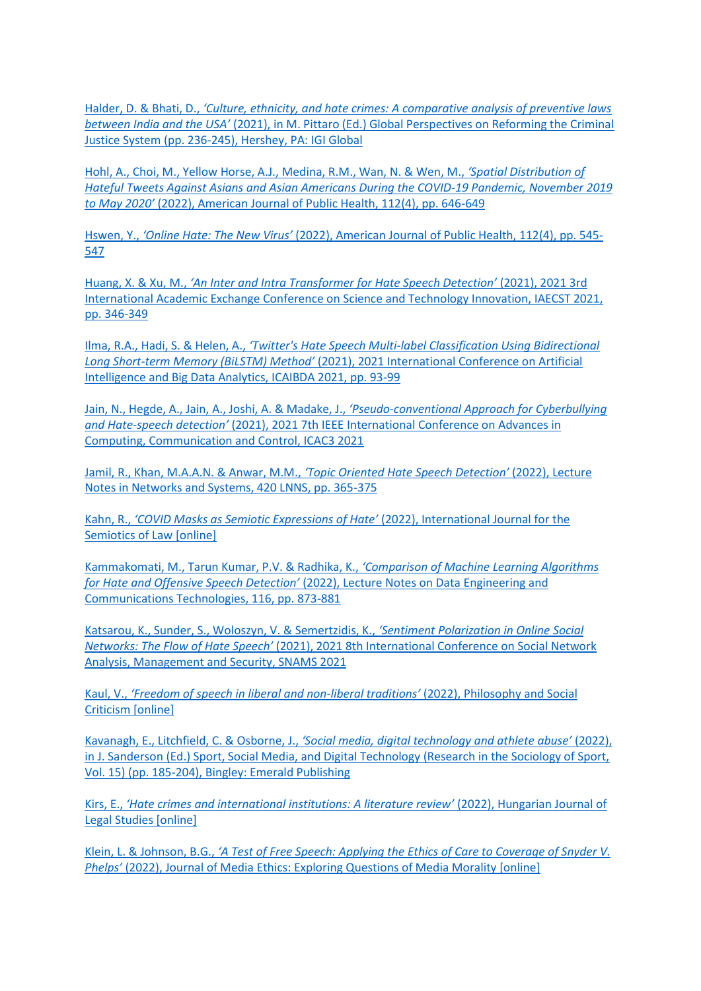Halder, D. & Bhati, D., *'[Culture, ethnicity, and hate crimes: A comparative analysis of preventive laws](https://doi.org/10.4018/978-1-7998-6884-2.ch013)  between India and the USA'* [\(2021\), in M. Pittaro \(Ed.\) Global Perspectives on Reforming the Criminal](https://doi.org/10.4018/978-1-7998-6884-2.ch013)  [Justice System \(pp. 236-245\), Hershey, PA: IGI Global](https://doi.org/10.4018/978-1-7998-6884-2.ch013)

[Hohl, A., Choi, M., Yellow Horse, A.J., Medina, R.M., Wan, N. & Wen, M.,](https://doi.org/10.2105/AJPH.2021.306653) *'Spatial Distribution of [Hateful Tweets Against Asians and Asian Americans During the COVID-19 Pandemic, November 2019](https://doi.org/10.2105/AJPH.2021.306653)  to May 2020'* [\(2022\), American Journal of Public Health, 112\(4\), pp. 646-649](https://doi.org/10.2105/AJPH.2021.306653)

Hswen, Y., *'Online Hate: The New Virus'* [\(2022\), American Journal of Public Health, 112\(4\), pp. 545-](https://doi.org/10.2105/AJPH.2022.306754) [547](https://doi.org/10.2105/AJPH.2022.306754)

Huang, X. & Xu, M., *['An Inter and Intra Transformer for Hate Speech Detection'](https://doi.org/10.1109/IAECST54258.2021.9695652)* (2021), 2021 3rd [International Academic Exchange Conference on Science and Technology Innovation, IAECST 2021,](https://doi.org/10.1109/IAECST54258.2021.9695652)  [pp. 346-349](https://doi.org/10.1109/IAECST54258.2021.9695652)

Ilma, R.A., Hadi, S. & Helen, A., *'[Twitter's Hate Speech Multi-label Classification Using Bidirectional](https://doi.org/10.1109/ICAIBDA53487.2021.9689767)  Long Short-term Memory (BiLSTM) Method'* [\(2021\), 2021 International Conference on Artificial](https://doi.org/10.1109/ICAIBDA53487.2021.9689767)  [Intelligence and Big Data Analytics, ICAIBDA 2021, pp. 93-99](https://doi.org/10.1109/ICAIBDA53487.2021.9689767)

[Jain, N., Hegde, A., Jain, A., Joshi, A. & Madake, J.,](https://doi.org/10.1109/ICAC353642.2021.9697140) *'Pseudo-conventional Approach for Cyberbullying and Hate-speech detection'* [\(2021\), 2021 7th IEEE International Conference on Advances in](https://doi.org/10.1109/ICAC353642.2021.9697140)  [Computing, Communication and Control, ICAC3 2021](https://doi.org/10.1109/ICAC353642.2021.9697140)

[Jamil, R., Khan, M.A.A.N. & Anwar, M.M.,](https://doi.org/10.1007/978-3-030-96305-7_34) *'Topic Oriented Hate Speech Detection'* (2022), Lecture [Notes in Networks and Systems, 420 LNNS, pp. 365-375](https://doi.org/10.1007/978-3-030-96305-7_34)

Kahn, R., *['COVID Masks as Semiotic Expressions of Hate'](https://doi.org/10.1007/s11196-022-09885-7)* (2022), International Journal for the [Semiotics of Law \[online\]](https://doi.org/10.1007/s11196-022-09885-7)

[Kammakomati, M., Tarun Kumar, P.V. & Radhika, K.,](https://doi.org/10.1007/978-981-16-9605-3_61) *'Comparison of Machine Learning Algorithms for Hate and Offensive Speech Detection'* [\(2022\), Lecture Notes on Data Engineering and](https://doi.org/10.1007/978-981-16-9605-3_61)  [Communications Technologies, 116, pp. 873-881](https://doi.org/10.1007/978-981-16-9605-3_61)

[Katsarou, K., Sunder, S., Woloszyn, V. & Semertzidis, K.,](https://doi.org/10.1109/SNAMS53716.2021.9732077) *'Sentiment Polarization in Online Social Networks: The Flow of Hate Speech'* [\(2021\), 2021 8th International Conference on Social Network](https://doi.org/10.1109/SNAMS53716.2021.9732077)  [Analysis, Management and Security, SNAMS 2021](https://doi.org/10.1109/SNAMS53716.2021.9732077)

Kaul, V., *['Freedom of speech in liberal and non](https://doi.org/10.1177%2F01914537221095285)-liberal traditions'* (2022), Philosophy and Social [Criticism \[online\]](https://doi.org/10.1177%2F01914537221095285)

Kavanagh, E., Litchfield, C. & Osborne, J., *['Social media, digital technology and athlete abuse'](https://doi.org/10.1108/S1476-285420220000015022)* (2022), [in J. Sanderson \(Ed.\) Sport, Social Media, and Digital Technology \(Research in the Sociology of Sport,](https://doi.org/10.1108/S1476-285420220000015022)  [Vol. 15\) \(pp. 185-204\), Bingley: Emerald Publishing](https://doi.org/10.1108/S1476-285420220000015022)

Kirs, E., *['Hate crimes and international institutions: A literature review'](https://doi.org/10.1556/2052.2020.00343)* (2022), Hungarian Journal of [Legal Studies \[online\]](https://doi.org/10.1556/2052.2020.00343)

Klein, L. & Johnson, B.G., *['A Test of Free Speech: Applying the Ethics of Care to Coverage of Snyder V.](https://doi.org/10.1080/23736992.2022.2057995)  Phelps'* [\(2022\), Journal of Media Ethics: Exploring Questions of Media Morality \[online\]](https://doi.org/10.1080/23736992.2022.2057995)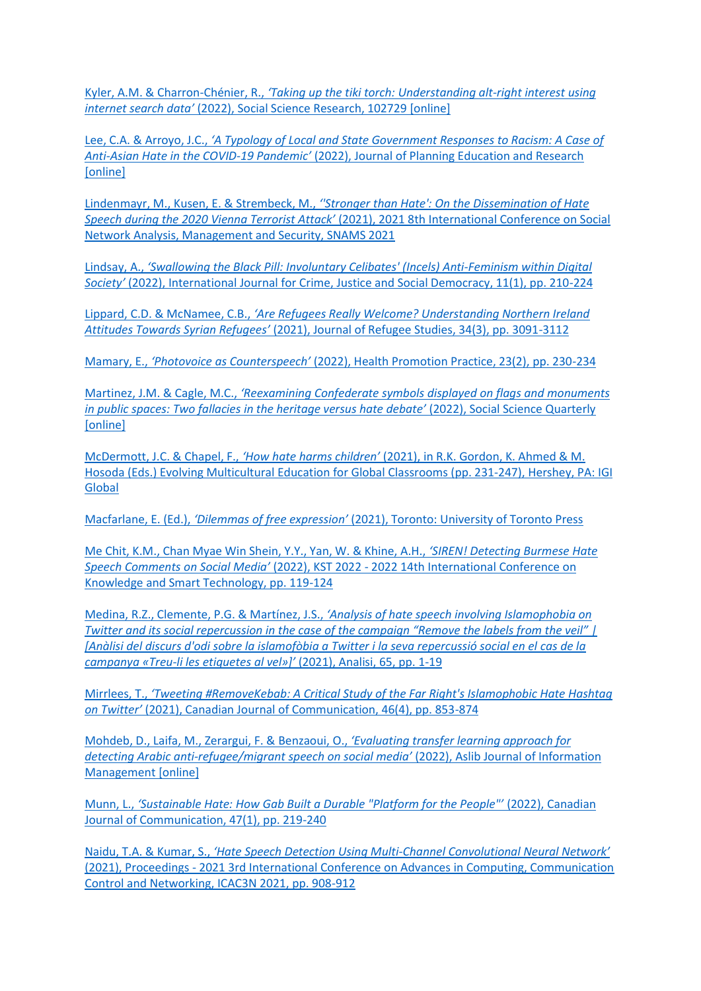Kyler, A.M. & Charron-Chénier, R., *['Taking up the tiki torch: Understanding alt](https://doi.org/10.1016/j.ssresearch.2022.102729)-right interest using internet search data'* [\(2022\), Social Science Research, 102729 \[online\]](https://doi.org/10.1016/j.ssresearch.2022.102729)

Lee, C.A. & Arroyo, J.C., *'[A Typology of Local and State Government Responses to Racism: A Case of](https://doi.org/10.1177%2F0739456X221084592)  Anti-Asian Hate in the COVID-19 Pandemic'* [\(2022\), Journal of Planning Education and Research](https://doi.org/10.1177%2F0739456X221084592)  **[\[online\]](https://doi.org/10.1177%2F0739456X221084592)** 

Lindenmayr, M., Kusen, E. & Strembeck, M., *[''Stronger than Hate': On the Dissemination of Hate](https://doi.org/10.1109/SNAMS53716.2021.9732081)  Speech during the 2020 Vienna Terrorist Attack'* [\(2021\), 2021 8th International Conference on Social](https://doi.org/10.1109/SNAMS53716.2021.9732081)  [Network Analysis, Management and Security, SNAMS 2021](https://doi.org/10.1109/SNAMS53716.2021.9732081)

Lindsay, A., *['Swallowing the Black Pill: Involuntary Celibates' \(Incels\) Anti](https://doi.org/10.5204/ijcjsd.2138)-Feminism within Digital Society'* [\(2022\), International Journal for Crime, Justice and Social Democracy, 11\(1\), pp. 210-224](https://doi.org/10.5204/ijcjsd.2138)

Lippard, C.D. & McNamee, C.B., *['Are Refugees Really Welcome? Understanding Northern Ireland](https://doi.org/10.1093/jrs/feab030)  Attitudes Towards Syrian Refugees'* [\(2021\), Journal of Refugee Studies, 34\(3\), pp. 3091-3112](https://doi.org/10.1093/jrs/feab030)

Mamary, E., *'Photovoice as Counterspeech'* [\(2022\), Health Promotion Practice, 23\(2\), pp. 230-234](https://doi.org/10.1177%2F15248399211059129)

Martinez, J.M. & Cagle, M.C., *'[Reexamining Confederate symbols displayed on flags and monuments](https://doi.org/10.1111/ssqu.13133)  [in public spaces: Two fallacies in the heritage versus hate debate'](https://doi.org/10.1111/ssqu.13133)* (2022), Social Science Quarterly [\[online\]](https://doi.org/10.1111/ssqu.13133)

McDermott, J.C. & Chapel, F., *'How hate harms children'* [\(2021\), in R.K. Gordon, K. Ahmed & M.](https://doi.org/10.4018/978-1-7998-7649-6.ch012)  [Hosoda \(Eds.\) Evolving Multicultural Education for Global Classrooms \(pp. 231-247\), Hershey, PA: IGI](https://doi.org/10.4018/978-1-7998-7649-6.ch012)  [Global](https://doi.org/10.4018/978-1-7998-7649-6.ch012)

Macfarlane, E. (Ed.), *'Dilemmas of free expression'* [\(2021\), Toronto: University of Toronto Press](https://utorontopress.com/9781487529307/dilemmas-of-free-expression/)

[Me Chit, K.M., Chan Myae Win Shein, Y.Y., Yan, W. & Khine, A.H.,](https://doi.org/10.1109/KST53302.2022.9729075) *'SIREN! Detecting Burmese Hate Speech Comments on Social Media'* (2022), KST 2022 - [2022 14th International Conference on](https://doi.org/10.1109/KST53302.2022.9729075)  [Knowledge and Smart Technology, pp. 119-124](https://doi.org/10.1109/KST53302.2022.9729075)

Medina, R.Z., Clemente, P.G. & Martínez, J.S., *['Analysis of hate speech involving Islamophobia on](https://doi.org/10.5565/rev/analisi.3383)  [Twitter and its social repercussion in the case of the campaign "Remove the labels from the veil" |](https://doi.org/10.5565/rev/analisi.3383)  [\[Anàlisi del discurs d'odi sobre la islamofòbia a Twitter i la seva repercussió social en el](https://doi.org/10.5565/rev/analisi.3383) cas de la campanya «Treu-li les etiquetes al vel»]'* [\(2021\), Analisi, 65, pp. 1-19](https://doi.org/10.5565/rev/analisi.3383)

Mirrlees, T., *'[Tweeting #RemoveKebab: A Critical Study of the Far Right's Islamophobic Hate Hashtag](https://doi.org/10.22230/cjc.2021v46n4a4049)  on Twitter'* [\(2021\), Canadian Journal of Communication, 46\(4\), pp. 853-874](https://doi.org/10.22230/cjc.2021v46n4a4049)

[Mohdeb, D., Laifa, M., Zerargui, F. & Benzaoui, O.,](https://doi.org/10.1108/AJIM-10-2021-0293) *'Evaluating transfer learning approach for detecting Arabic anti-[refugee/migrant speech on social media'](https://doi.org/10.1108/AJIM-10-2021-0293)* (2022), Aslib Journal of Information [Management \[online\]](https://doi.org/10.1108/AJIM-10-2021-0293)

Munn, L., *['Sustainable Hate: How Gab Built a Durable "Platform for the People"'](https://doi.org/10.22230/cjc.2022v47n1a4037)* (2022), Canadian [Journal of Communication, 47\(1\), pp. 219-240](https://doi.org/10.22230/cjc.2022v47n1a4037)

Naidu, T.A. & Kumar, S., *'Hate Speech Detection Using Multi-[Channel Convolutional Neural Network'](https://doi.org/10.1109/ICAC3N53548.2021.9725696)* (2021), Proceedings - [2021 3rd International Conference on Advances in Computing, Communication](https://doi.org/10.1109/ICAC3N53548.2021.9725696)  [Control and Networking, ICAC3N 2021, pp. 908-912](https://doi.org/10.1109/ICAC3N53548.2021.9725696)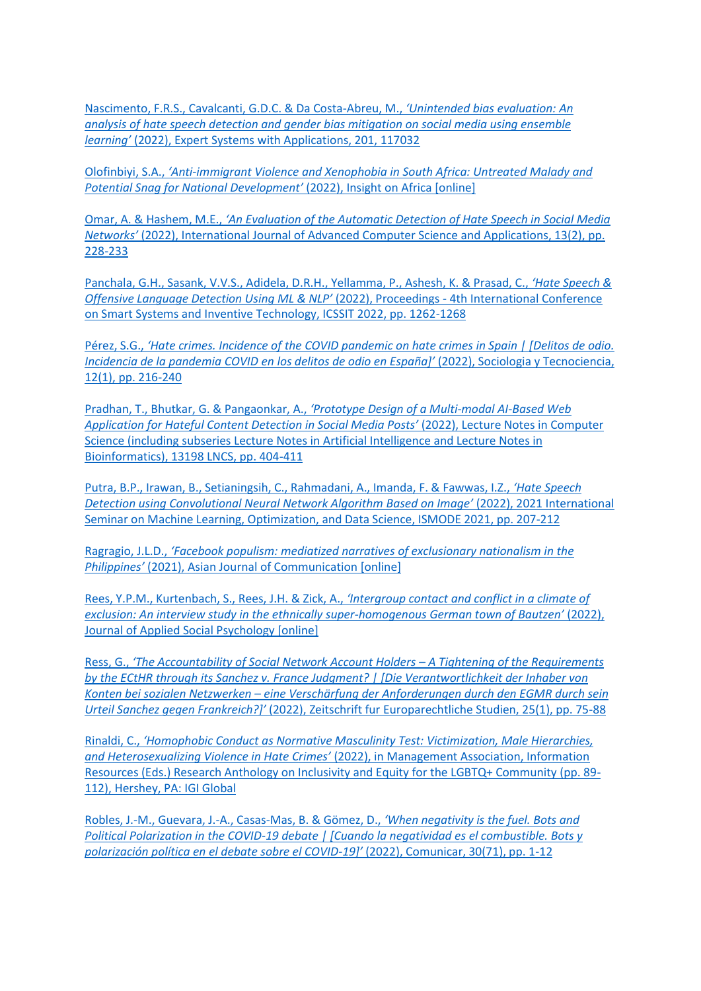[Nascimento, F.R.S., Cavalcanti, G.D.C. & Da Costa-Abreu, M.,](https://doi.org/10.1016/j.eswa.2022.117032) *'Unintended bias evaluation: An [analysis of hate speech detection and gender bias mitigation on social media using ensemble](https://doi.org/10.1016/j.eswa.2022.117032)  learning'* [\(2022\), Expert Systems with Applications, 201, 117032](https://doi.org/10.1016/j.eswa.2022.117032)

Olofinbiyi, S.A., *'Anti[-immigrant Violence and Xenophobia in South Africa: Untreated Malady and](https://doi.org/10.1177%2F09750878221079803)  [Potential Snag for National Development'](https://doi.org/10.1177%2F09750878221079803)* (2022), Insight on Africa [online]

Omar, A. & Hashem, M.E., *'[An Evaluation of the Automatic Detection of Hate Speech in Social Media](https://dx.doi.org/10.14569/IJACSA.2022.0130228)  Networks'* [\(2022\), International Journal of Advanced Computer Science and Applications, 13\(2\), pp.](https://dx.doi.org/10.14569/IJACSA.2022.0130228)  [228-233](https://dx.doi.org/10.14569/IJACSA.2022.0130228)

[Panchala, G.H., Sasank, V.V.S., Adidela, D.R.H., Yellamma, P., Ashesh, K. & Prasad, C.,](https://doi.org/10.1109/ICSSIT53264.2022.9716417) *'Hate Speech & [Offensive Language Detection Using ML & NLP'](https://doi.org/10.1109/ICSSIT53264.2022.9716417)* (2022), Proceedings - 4th International Conference [on Smart Systems and Inventive Technology, ICSSIT 2022, pp. 1262-1268](https://doi.org/10.1109/ICSSIT53264.2022.9716417)

Pérez, S.G., *'[Hate crimes. Incidence of the COVID pandemic on hate crimes in Spain | \[Delitos de odio.](https://doi.org/10.24197/st.1.2022.216-240)  [Incidencia de la pandemia COVID en los delitos de odio en España\]'](https://doi.org/10.24197/st.1.2022.216-240)* (2022), Sociologia y Tecnociencia, [12\(1\), pp. 216-240](https://doi.org/10.24197/st.1.2022.216-240)

[Pradhan, T., Bhutkar, G. & Pangaonkar, A.,](https://doi.org/10.1007/978-3-030-98388-8_36) *'Prototype Design of a Multi-modal AI-Based Web [Application for Hateful Content Detection in Social Media Posts'](https://doi.org/10.1007/978-3-030-98388-8_36)* (2022), Lecture Notes in Computer [Science \(including subseries Lecture Notes in Artificial Intelligence and Lecture Notes in](https://doi.org/10.1007/978-3-030-98388-8_36)  [Bioinformatics\), 13198 LNCS, pp. 404-411](https://doi.org/10.1007/978-3-030-98388-8_36)

[Putra, B.P., Irawan, B., Setianingsih, C., Rahmadani, A., Imanda, F. & Fawwas, I.Z.,](https://doi.org/10.1109/ISMODE53584.2022.9742810) *'Hate Speech [Detection using Convolutional Neural Network Algorithm Based on Image'](https://doi.org/10.1109/ISMODE53584.2022.9742810)* (2022), 2021 International [Seminar on Machine Learning, Optimization, and Data Science, ISMODE 2021, pp. 207-212](https://doi.org/10.1109/ISMODE53584.2022.9742810)

Ragragio, J.L.D., *'[Facebook populism: mediatized narratives of exclusionary nationalism in the](https://doi.org/10.1080/01292986.2021.1993943)  Philippines'* [\(2021\), Asian Journal of Communication \[online\]](https://doi.org/10.1080/01292986.2021.1993943)

[Rees, Y.P.M., Kurtenbach, S., Rees, J.H. & Zick, A.,](https://doi.org/10.1111/jasp.12875) *'Intergroup contact and conflict in a climate of [exclusion: An interview study in the ethnically super-](https://doi.org/10.1111/jasp.12875)homogenous German town of Bautzen'* (2022), [Journal of Applied Social Psychology \[online\]](https://doi.org/10.1111/jasp.12875)

Ress, G., *['The Accountability of Social Network Account Holders –](https://doi.org/10.5771/1435-439X-2022-1-75) A Tightening of the Requirements [by the ECtHR through its Sanchez v. France Judgment? | \[Die Verantwortlichkeit der Inhaber von](https://doi.org/10.5771/1435-439X-2022-1-75)  Konten bei sozialen Netzwerken – [eine Verschärfung der Anforderungen durch den EGMR durch sein](https://doi.org/10.5771/1435-439X-2022-1-75)  Urteil Sanchez gegen Frankreich?]'* [\(2022\), Zeitschrift fur Europarechtliche Studien, 25\(1\), pp. 75-88](https://doi.org/10.5771/1435-439X-2022-1-75)

Rinaldi, C., *['Homophobic Conduct as Normative Masculinit](https://doi.org/10.4018/978-1-6684-3674-5.ch006)y Test: Victimization, Male Hierarchies, and Heterosexualizing Violence in Hate Crimes'* [\(2022\), in Management Association, Information](https://doi.org/10.4018/978-1-6684-3674-5.ch006)  [Resources \(Eds.\) Research Anthology on Inclusivity and Equity for the LGBTQ+ Community \(pp. 89-](https://doi.org/10.4018/978-1-6684-3674-5.ch006) [112\), Hershey, PA: IGI Global](https://doi.org/10.4018/978-1-6684-3674-5.ch006)

[Robles, J.-M., Guevara, J.-A., Casas-Mas, B. & Gömez, D.,](https://doi.org/10.3916/C71-2022-05) *'When negativity is the fuel. Bots and [Political Polarization in the COVID-19 debate | \[Cuando la negatividad es el combustible. Bots y](https://doi.org/10.3916/C71-2022-05)  [polarización política en el debate sobre el COVID-](https://doi.org/10.3916/C71-2022-05)19]'* (2022), Comunicar, 30(71), pp. 1-12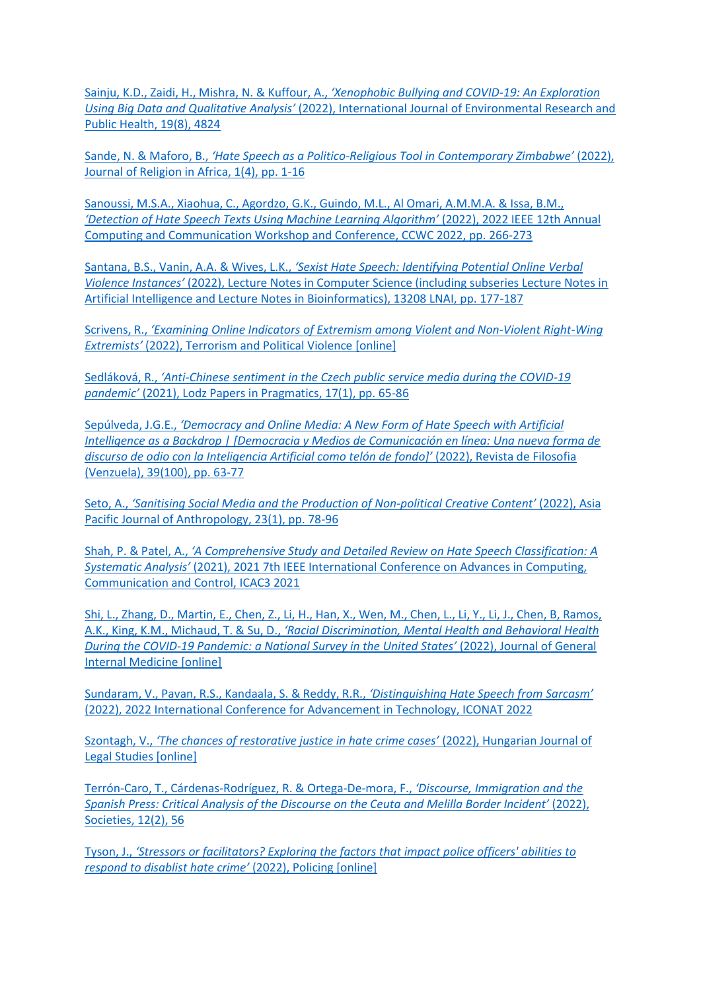Sainju, K.D., Zaidi, H., Mishra, N. & Kuffour, A., *'[Xenophobic Bullying and COVID-19: An Exploration](https://doi.org/10.3390/ijerph19084824)  Using Big Data and Qualitative Analysis'* [\(2022\), International Journal of Environmental Research and](https://doi.org/10.3390/ijerph19084824)  [Public Health, 19\(8\), 4824](https://doi.org/10.3390/ijerph19084824)

Sande, N. & Maforo, B., *'Hate Speech as a Politico-[Religious Tool in Contemporary Zimbabwe'](https://doi.org/10.1163/15700666-12340210)* (2022), [Journal of Religion in Africa, 1\(4\), pp. 1-16](https://doi.org/10.1163/15700666-12340210)

[Sanoussi, M.S.A., Xiaohua, C., Agordzo, G.K., Guindo, M.L., Al Omari, A.M.M.A. & Issa, B.M.,](https://doi.org/10.1109/CCWC54503.2022.9720792)  *['Detection of Hate Speech Texts Using Machine Learning Algorithm'](https://doi.org/10.1109/CCWC54503.2022.9720792)* (2022), 2022 IEEE 12th Annual [Computing and Communication Workshop and Conference, CCWC 2022, pp.](https://doi.org/10.1109/CCWC54503.2022.9720792) 266-273

Santana, B.S., Vanin, A.A. & Wives, L.K., *'[Sexist Hate Speech: Identifying Potential Online Verbal](https://doi.org/10.1007/978-3-030-98305-5_17)  Violence Instances'* [\(2022\), Lecture Notes in Computer Science \(including subseries Lecture Notes in](https://doi.org/10.1007/978-3-030-98305-5_17)  [Artificial Intelligence and Lecture Notes in Bioinformatics\), 13208 LNAI, pp. 177-187](https://doi.org/10.1007/978-3-030-98305-5_17)

Scrivens, R., *['Examining Online Indicators of Extremism among Violent and Non](https://doi.org/10.1080/09546553.2022.2042270)-Violent Right-Wing Extremists'* [\(2022\), Terrorism and Political Violence \[online\]](https://doi.org/10.1080/09546553.2022.2042270)

Sedláková, R., *'Anti[-Chinese sentiment in the Czech public service media during the COVID-19](https://doi.org/10.1515/lpp-2021-0004)  pandemic'* [\(2021\), Lodz Papers in Pragmatics, 17\(1\), pp. 65-86](https://doi.org/10.1515/lpp-2021-0004)

Sepúlveda, J.G.E., *['Democracy and Online Media: A New Form of Hate Speech with Artificial](https://doi.org/10.5281/zenodo.5979731)  [Intelligence as a Backdrop | \[Democracia y Medios de Comunicación en línea: Una nueva forma de](https://doi.org/10.5281/zenodo.5979731)  discurso de odio co[n la Inteligencia Artificial como telón de fondo\]'](https://doi.org/10.5281/zenodo.5979731)* (2022), Revista de Filosofia [\(Venzuela\), 39\(100\), pp. 63-77](https://doi.org/10.5281/zenodo.5979731)

Seto, A., *'[Sanitising Social Media and the Production of Non-](https://doi.org/10.1080/14442213.2021.2019825)political Creative Content'* (2022), Asia [Pacific Journal of Anthropology, 23\(1\), pp. 78-96](https://doi.org/10.1080/14442213.2021.2019825)

Shah, P. & Patel, A., *'A Comprehensive Study and D[etailed Review on Hate Speech Classification: A](https://doi.org/10.1109/ICAC353642.2021.9697110)  Systematic Analysis'* [\(2021\), 2021 7th IEEE International Conference on Advances in Computing,](https://doi.org/10.1109/ICAC353642.2021.9697110)  [Communication and Control, ICAC3 2021](https://doi.org/10.1109/ICAC353642.2021.9697110)

[Shi, L., Zhang, D., Martin, E., Chen, Z., Li, H., Han, X., Wen, M., Chen, L., Li, Y., Li, J., Chen, B, Ramos,](https://doi.org/10.1007/s11606-022-07540-2)  A.K., King, K.M., Michaud, T. & Su, D., *['Racial Discrimination, Mental Health and Behavioral Health](https://doi.org/10.1007/s11606-022-07540-2)  [During the COVID-19 Pandemic: a National Survey in the United](https://doi.org/10.1007/s11606-022-07540-2) States'* (2022), Journal of General [Internal Medicine \[online\]](https://doi.org/10.1007/s11606-022-07540-2)

[Sundaram, V., Pavan, R.S., Kandaala, S. & Reddy, R.R.,](https://doi.org/10.1109/ICONAT53423.2022.9726093) *'Distinguishing Hate Speech from Sarcasm'* [\(2022\), 2022 International Conference for Advancement in Technology, ICONAT 2022](https://doi.org/10.1109/ICONAT53423.2022.9726093)

Szontagh, V., *['The chances of restorative justice in hate crime cases'](https://doi.org/10.1556/2052.2020.00345)* (2022), Hungarian Journal of [Legal Studies \[online\]](https://doi.org/10.1556/2052.2020.00345)

[Terrón-Caro, T., Cárdenas-Rodríguez, R. & Ortega-De-mora, F.,](https://doi.org/10.3390/soc12020056) *'Discourse, Immigration and the [Spanish Press: Critical Analysis of the Discourse on the Ceuta](https://doi.org/10.3390/soc12020056) and Melilla Border Incident'* (2022), [Societies, 12\(2\), 56](https://doi.org/10.3390/soc12020056)

Tyson, J., *'[Stressors or facilitators? Exploring the factors that impact police officers' abilities to](https://doi.org/10.1108/PIJPSM-10-2021-0145)  [respond to disablist hate crime'](https://doi.org/10.1108/PIJPSM-10-2021-0145)* (2022), Policing [online]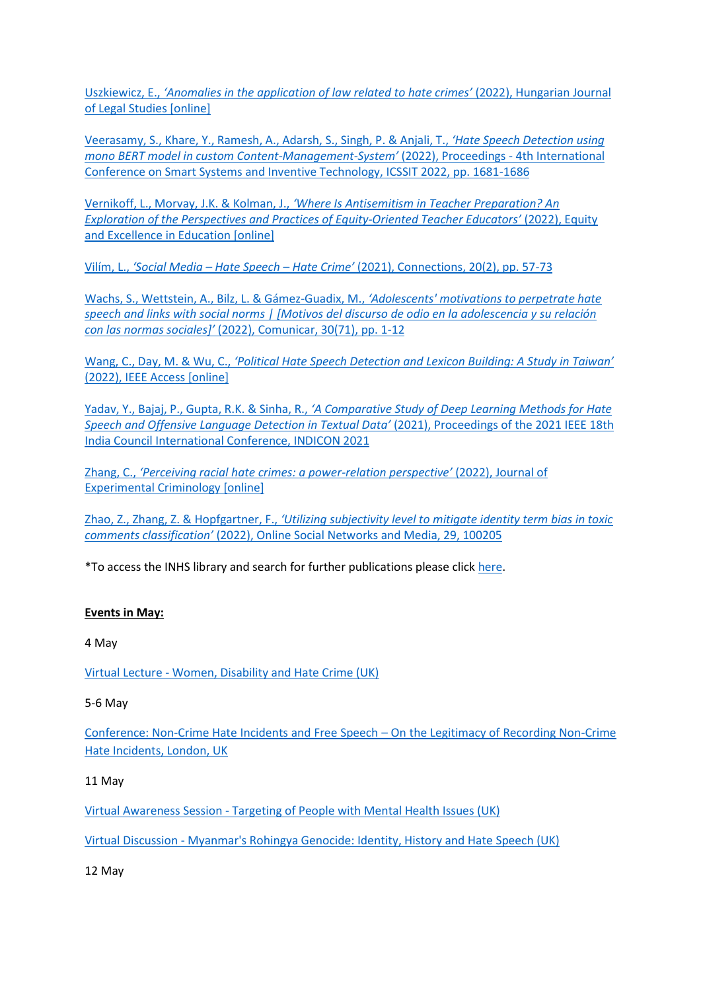Uszkiewicz, E., *['Anomalies in the application of law related to hate crimes'](https://doi.org/10.1556/2052.2020.00344)* (2022), Hungarian Journal [of Legal Studies \[online\]](https://doi.org/10.1556/2052.2020.00344)

[Veerasamy, S., Khare, Y., Ramesh, A., Adarsh, S., Singh, P. & Anjali, T.,](https://doi.org/10.1109/ICSSIT53264.2022.9716428) *'Hate Speech Detection using [mono BERT model in custom Content-Management-](https://doi.org/10.1109/ICSSIT53264.2022.9716428)System'* (2022), Proceedings - 4th International [Conference on Smart Systems and Inventive Technology, ICSSIT 2022, pp. 1681-1686](https://doi.org/10.1109/ICSSIT53264.2022.9716428)

Vernikoff, L., Morvay, J.K. & Kolman, J., *['Where Is Antisemitism in Teacher Preparation? An](https://doi.org/10.1080/10665684.2022.2047414)  [Exploration of the Perspectives and Practices of Equity-](https://doi.org/10.1080/10665684.2022.2047414)Oriented Teacher Educators'* (2022), Equity [and Excellence in Education \[online\]](https://doi.org/10.1080/10665684.2022.2047414)

Vilím, L., *'Social Media – Hate Speech – Hate Crime'* [\(2021\), Connections, 20\(2\), pp. 57-73](http://connections-qj.org/article/social-media-hate-speech-hate-crime)

[Wachs, S., Wettstein, A., Bilz, L. & Gámez-Guadix, M.,](https://doi.org/10.3916/C71-2022-01) *'Adolescents' motivations to perpetrate hate [speech and links with social norms | \[Motivos del discurso de odio en la adolescencia y su relación](https://doi.org/10.3916/C71-2022-01)  con las normas sociales]'* [\(2022\), Comunicar, 30\(71\), pp. 1-12](https://doi.org/10.3916/C71-2022-01)

Wang, C., Day, M. & Wu, C., *['Political Hate Speech Detection and Lexicon Building: A Study in Taiwan'](https://doi.org/10.1109/ACCESS.2022.3160712)* [\(2022\), IEEE Access \[online\]](https://doi.org/10.1109/ACCESS.2022.3160712)

Yadav, Y., Bajaj, P., Gupta, R.K. & Sinha, R., *['A Comparative Study of Deep Learning Methods for Hate](https://doi.org/10.1109/INDICON52576.2021.9691704)  [Speech and Offensive Language Detection in Textual Data'](https://doi.org/10.1109/INDICON52576.2021.9691704)* (2021), Proceedings of the 2021 IEEE 18th [India Council International Conference, INDICON 2021](https://doi.org/10.1109/INDICON52576.2021.9691704)

Zhang, C., *['Perceiving racial hate crimes: a power](https://doi.org/10.1007/s11292-022-09501-5)-relation perspective'* (2022), Journal of [Experimental Criminology \[online\]](https://doi.org/10.1007/s11292-022-09501-5)

Zhao, Z., Zhang, Z. & Hopfgartner, F., *['Utilizing subjectivity level to mitigate identity term bias in toxic](https://doi.org/10.1016/j.osnem.2022.100205)  comments classification'* [\(2022\), Online Social Networks and Media, 29, 100205](https://doi.org/10.1016/j.osnem.2022.100205)

\*To access the INHS library and search for further publications please click [here.](http://www.internationalhatestudies.com/publications/)

## **Events in May:**

4 May

Virtual Lecture - [Women, Disability and Hate Crime \(UK\)](https://www.eventbrite.co.uk/e/women-disability-and-hate-crime-judith-social-justice-series-tickets-321245442767)

#### 5-6 May

[Conference: Non-Crime Hate Incidents and Free Speech](https://www.legalscholars.ac.uk/event/conference-non-crime-hate-incidents-and-free-speech-on-the-legitimacy-of-recording-non-crime-hate-incidents/) – On the Legitimacy of Recording Non-Crime [Hate Incidents, London, UK](https://www.legalscholars.ac.uk/event/conference-non-crime-hate-incidents-and-free-speech-on-the-legitimacy-of-recording-non-crime-hate-incidents/)

## 11 May

Virtual Awareness Session - [Targeting of People with Mental Health Issues \(UK\)](https://www.eventbrite.co.uk/e/targeting-of-people-with-mental-health-issues-awareness-session-tickets-324822722507)

Virtual Discussion - [Myanmar's Rohingya Genocide: Identity, History and Hate Speech \(UK\)](https://www.eventbrite.co.uk/e/myanmars-rohingya-genocide-identity-history-and-hate-speech-tickets-311675007337)

12 May